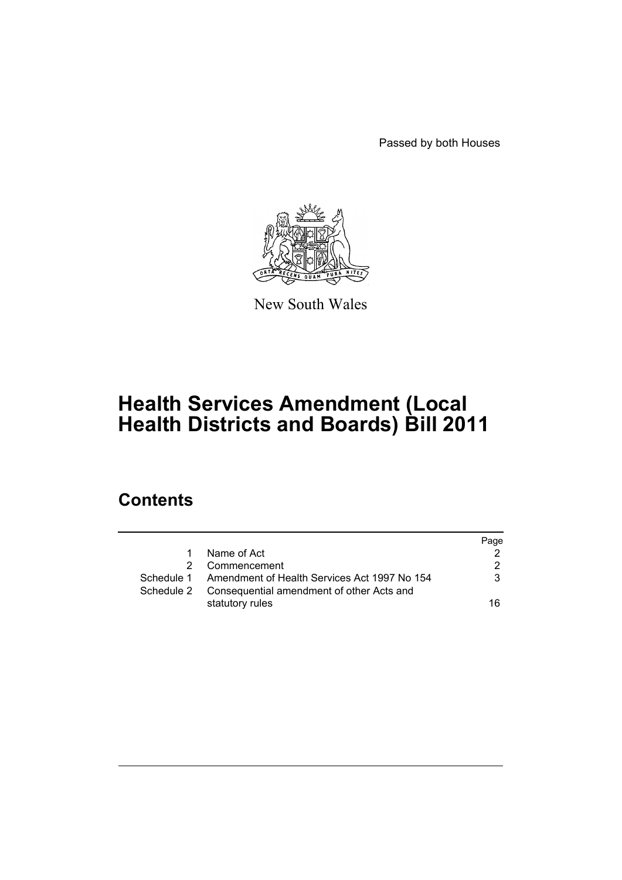Passed by both Houses



New South Wales

# **Health Services Amendment (Local Health Districts and Boards) Bill 2011**

# **Contents**

|            |                                                         | Page |
|------------|---------------------------------------------------------|------|
| 1          | Name of Act                                             |      |
|            | Commencement                                            | 2    |
|            | Schedule 1 Amendment of Health Services Act 1997 No 154 | 3    |
| Schedule 2 | Consequential amendment of other Acts and               |      |
|            | statutory rules                                         | 16   |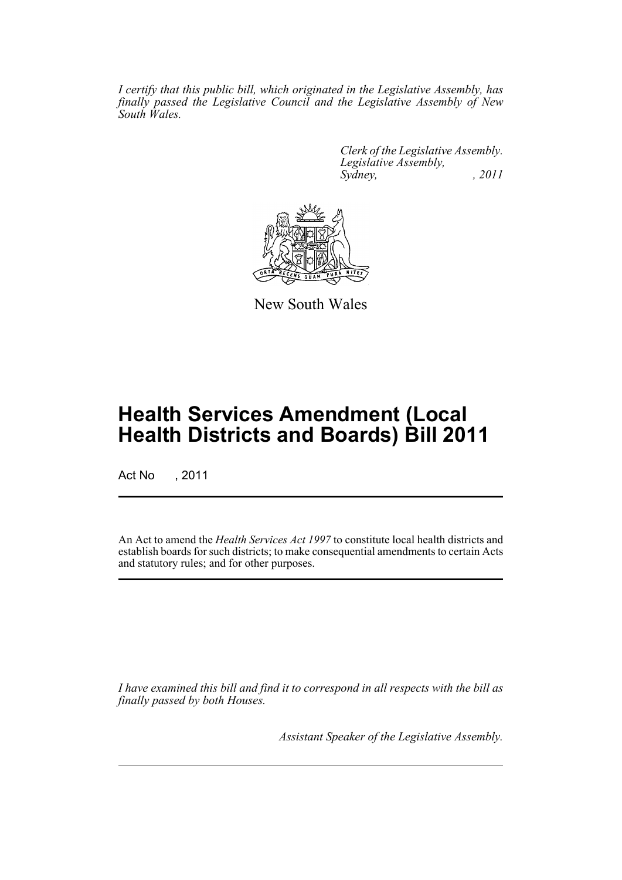*I certify that this public bill, which originated in the Legislative Assembly, has finally passed the Legislative Council and the Legislative Assembly of New South Wales.*

> *Clerk of the Legislative Assembly. Legislative Assembly, Sydney, , 2011*



New South Wales

# **Health Services Amendment (Local Health Districts and Boards) Bill 2011**

Act No , 2011

An Act to amend the *Health Services Act 1997* to constitute local health districts and establish boards for such districts; to make consequential amendments to certain Acts and statutory rules; and for other purposes.

*I have examined this bill and find it to correspond in all respects with the bill as finally passed by both Houses.*

*Assistant Speaker of the Legislative Assembly.*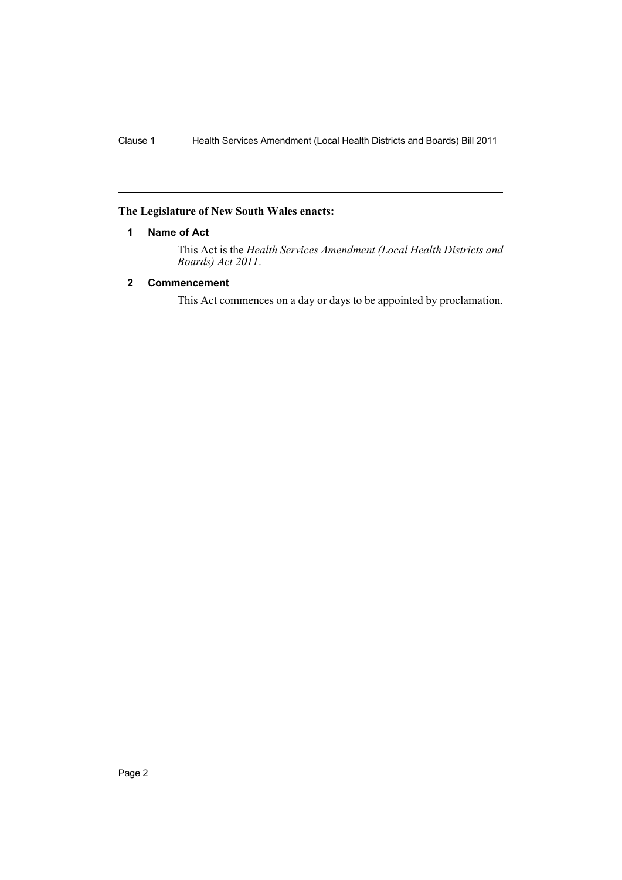#### <span id="page-3-0"></span>**The Legislature of New South Wales enacts:**

#### **1 Name of Act**

This Act is the *Health Services Amendment (Local Health Districts and Boards) Act 2011*.

## <span id="page-3-1"></span>**2 Commencement**

This Act commences on a day or days to be appointed by proclamation.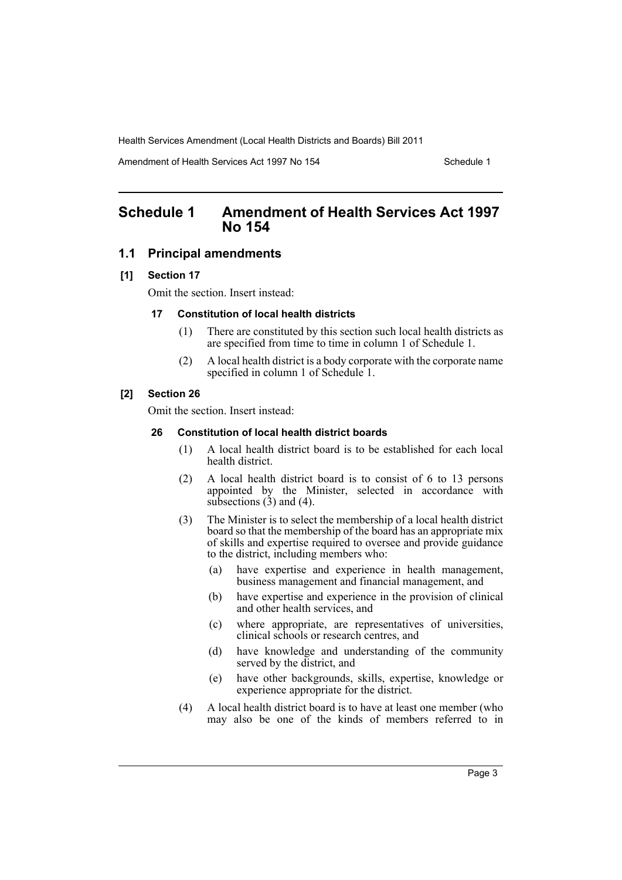Amendment of Health Services Act 1997 No 154 Schedule 1

# <span id="page-4-0"></span>**Schedule 1 Amendment of Health Services Act 1997 No 154**

#### **1.1 Principal amendments**

#### **[1] Section 17**

Omit the section. Insert instead:

#### **17 Constitution of local health districts**

- (1) There are constituted by this section such local health districts as are specified from time to time in column 1 of Schedule 1.
- (2) A local health district is a body corporate with the corporate name specified in column 1 of Schedule 1.

#### **[2] Section 26**

Omit the section. Insert instead:

#### **26 Constitution of local health district boards**

- (1) A local health district board is to be established for each local health district.
- (2) A local health district board is to consist of 6 to 13 persons appointed by the Minister, selected in accordance with subsections  $(3)$  and  $(4)$ .
- (3) The Minister is to select the membership of a local health district board so that the membership of the board has an appropriate mix of skills and expertise required to oversee and provide guidance to the district, including members who:
	- (a) have expertise and experience in health management, business management and financial management, and
	- (b) have expertise and experience in the provision of clinical and other health services, and
	- (c) where appropriate, are representatives of universities, clinical schools or research centres, and
	- (d) have knowledge and understanding of the community served by the district, and
	- (e) have other backgrounds, skills, expertise, knowledge or experience appropriate for the district.
- (4) A local health district board is to have at least one member (who may also be one of the kinds of members referred to in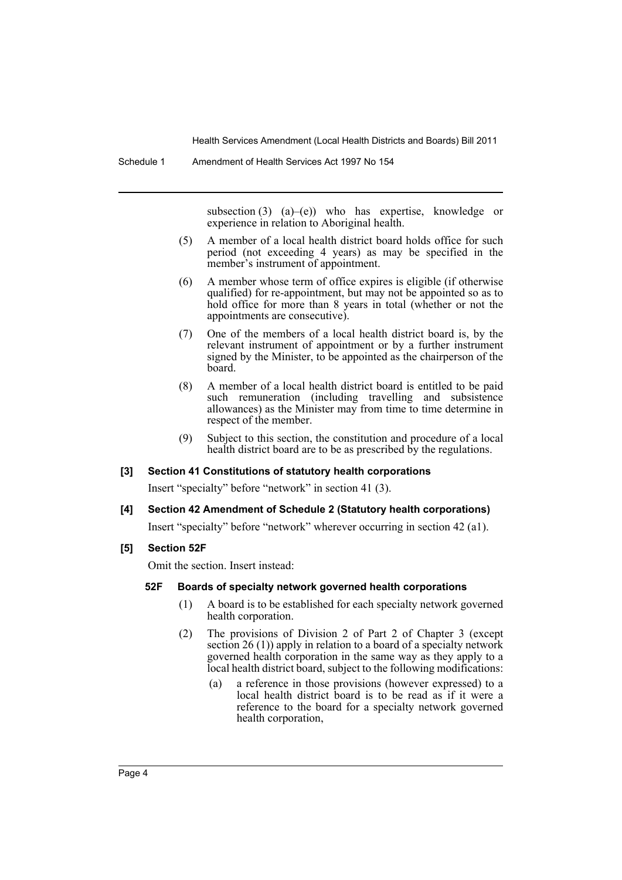subsection  $(3)$   $(a)$ – $(e)$ ) who has expertise, knowledge or experience in relation to Aboriginal health.

- (5) A member of a local health district board holds office for such period (not exceeding 4 years) as may be specified in the member's instrument of appointment.
- (6) A member whose term of office expires is eligible (if otherwise qualified) for re-appointment, but may not be appointed so as to hold office for more than 8 years in total (whether or not the appointments are consecutive).
- (7) One of the members of a local health district board is, by the relevant instrument of appointment or by a further instrument signed by the Minister, to be appointed as the chairperson of the board.
- (8) A member of a local health district board is entitled to be paid such remuneration (including travelling and subsistence allowances) as the Minister may from time to time determine in respect of the member.
- (9) Subject to this section, the constitution and procedure of a local health district board are to be as prescribed by the regulations.

#### **[3] Section 41 Constitutions of statutory health corporations**

Insert "specialty" before "network" in section 41 (3).

#### **[4] Section 42 Amendment of Schedule 2 (Statutory health corporations)**

Insert "specialty" before "network" wherever occurring in section 42 (a1).

#### **[5] Section 52F**

Omit the section. Insert instead:

#### **52F Boards of specialty network governed health corporations**

- (1) A board is to be established for each specialty network governed health corporation.
- (2) The provisions of Division 2 of Part 2 of Chapter 3 (except section 26 (1)) apply in relation to a board of a specialty network governed health corporation in the same way as they apply to a local health district board, subject to the following modifications:
	- (a) a reference in those provisions (however expressed) to a local health district board is to be read as if it were a reference to the board for a specialty network governed health corporation,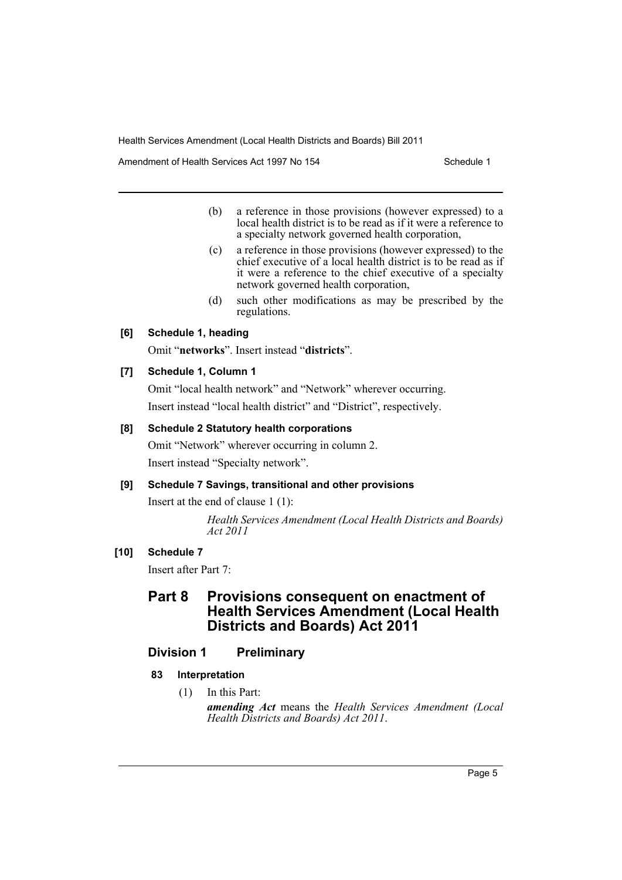Amendment of Health Services Act 1997 No 154 Schedule 1

- (b) a reference in those provisions (however expressed) to a local health district is to be read as if it were a reference to a specialty network governed health corporation,
- (c) a reference in those provisions (however expressed) to the chief executive of a local health district is to be read as if it were a reference to the chief executive of a specialty network governed health corporation,
- (d) such other modifications as may be prescribed by the regulations.

#### **[6] Schedule 1, heading**

Omit "**networks**". Insert instead "**districts**".

#### **[7] Schedule 1, Column 1**

Omit "local health network" and "Network" wherever occurring. Insert instead "local health district" and "District", respectively.

#### **[8] Schedule 2 Statutory health corporations**

Omit "Network" wherever occurring in column 2. Insert instead "Specialty network".

#### **[9] Schedule 7 Savings, transitional and other provisions**

Insert at the end of clause 1 (1):

*Health Services Amendment (Local Health Districts and Boards) Act 2011*

## **[10] Schedule 7**

Insert after Part 7:

# **Part 8 Provisions consequent on enactment of Health Services Amendment (Local Health Districts and Boards) Act 2011**

#### **Division 1 Preliminary**

#### **83 Interpretation**

(1) In this Part:

*amending Act* means the *Health Services Amendment (Local Health Districts and Boards) Act 2011*.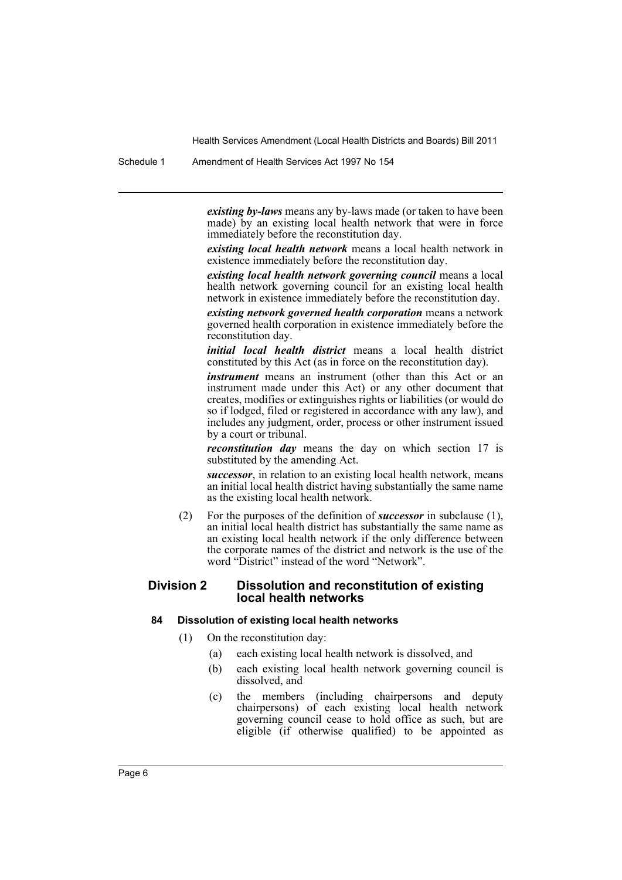Schedule 1 Amendment of Health Services Act 1997 No 154

*existing by-laws* means any by-laws made (or taken to have been made) by an existing local health network that were in force immediately before the reconstitution day.

*existing local health network* means a local health network in existence immediately before the reconstitution day.

*existing local health network governing council* means a local health network governing council for an existing local health network in existence immediately before the reconstitution day.

*existing network governed health corporation* means a network governed health corporation in existence immediately before the reconstitution day.

*initial local health district* means a local health district constituted by this Act (as in force on the reconstitution day).

*instrument* means an instrument (other than this Act or an instrument made under this Act) or any other document that creates, modifies or extinguishes rights or liabilities (or would do so if lodged, filed or registered in accordance with any law), and includes any judgment, order, process or other instrument issued by a court or tribunal.

*reconstitution day* means the day on which section 17 is substituted by the amending Act.

*successor*, in relation to an existing local health network, means an initial local health district having substantially the same name as the existing local health network.

(2) For the purposes of the definition of *successor* in subclause (1), an initial local health district has substantially the same name as an existing local health network if the only difference between the corporate names of the district and network is the use of the word "District" instead of the word "Network".

#### **Division 2 Dissolution and reconstitution of existing local health networks**

## **84 Dissolution of existing local health networks**

- (1) On the reconstitution day:
	- (a) each existing local health network is dissolved, and
	- (b) each existing local health network governing council is dissolved, and
	- (c) the members (including chairpersons and deputy chairpersons) of each existing local health network governing council cease to hold office as such, but are eligible (if otherwise qualified) to be appointed as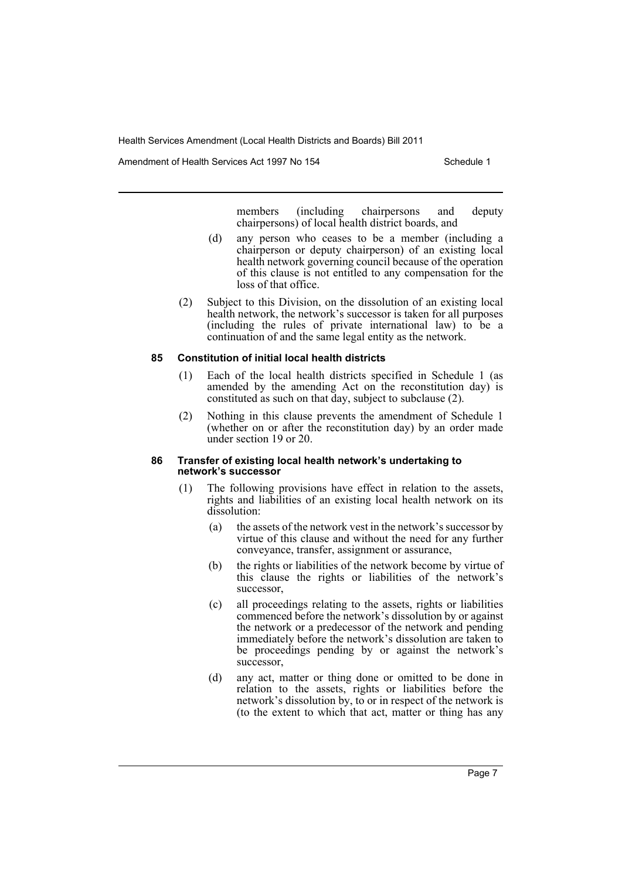Amendment of Health Services Act 1997 No 154 Schedule 1

members (including chairpersons and deputy chairpersons) of local health district boards, and

- (d) any person who ceases to be a member (including a chairperson or deputy chairperson) of an existing local health network governing council because of the operation of this clause is not entitled to any compensation for the loss of that office.
- (2) Subject to this Division, on the dissolution of an existing local health network, the network's successor is taken for all purposes (including the rules of private international law) to be a continuation of and the same legal entity as the network.

#### **85 Constitution of initial local health districts**

- (1) Each of the local health districts specified in Schedule 1 (as amended by the amending Act on the reconstitution day) is constituted as such on that day, subject to subclause (2).
- (2) Nothing in this clause prevents the amendment of Schedule 1 (whether on or after the reconstitution day) by an order made under section 19 or 20.

#### **86 Transfer of existing local health network's undertaking to network's successor**

- (1) The following provisions have effect in relation to the assets, rights and liabilities of an existing local health network on its dissolution:
	- (a) the assets of the network vest in the network's successor by virtue of this clause and without the need for any further conveyance, transfer, assignment or assurance,
	- (b) the rights or liabilities of the network become by virtue of this clause the rights or liabilities of the network's successor,
	- (c) all proceedings relating to the assets, rights or liabilities commenced before the network's dissolution by or against the network or a predecessor of the network and pending immediately before the network's dissolution are taken to be proceedings pending by or against the network's successor.
	- (d) any act, matter or thing done or omitted to be done in relation to the assets, rights or liabilities before the network's dissolution by, to or in respect of the network is (to the extent to which that act, matter or thing has any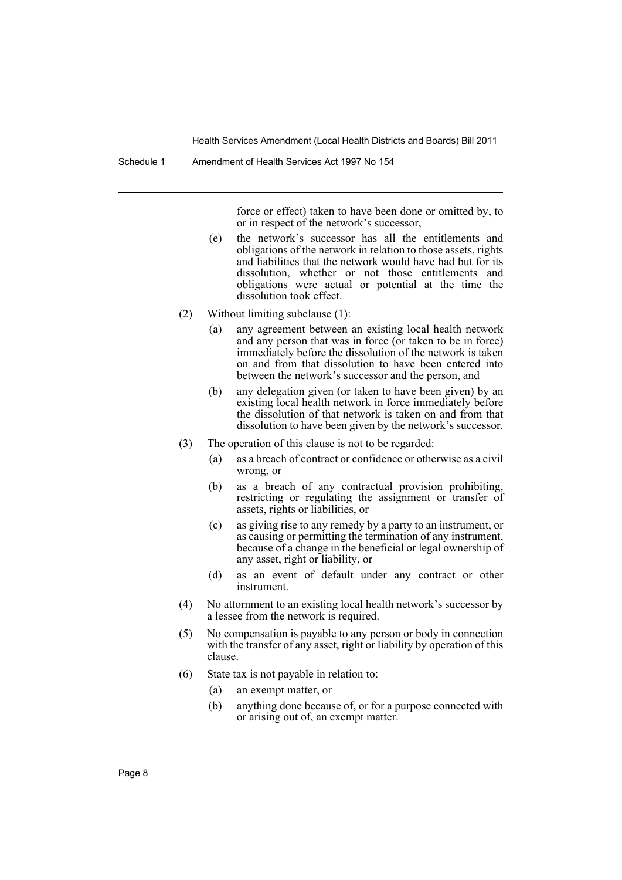force or effect) taken to have been done or omitted by, to or in respect of the network's successor,

- (e) the network's successor has all the entitlements and obligations of the network in relation to those assets, rights and liabilities that the network would have had but for its dissolution, whether or not those entitlements and obligations were actual or potential at the time the dissolution took effect.
- (2) Without limiting subclause (1):
	- (a) any agreement between an existing local health network and any person that was in force (or taken to be in force) immediately before the dissolution of the network is taken on and from that dissolution to have been entered into between the network's successor and the person, and
	- (b) any delegation given (or taken to have been given) by an existing local health network in force immediately before the dissolution of that network is taken on and from that dissolution to have been given by the network's successor.
- (3) The operation of this clause is not to be regarded:
	- (a) as a breach of contract or confidence or otherwise as a civil wrong, or
	- (b) as a breach of any contractual provision prohibiting, restricting or regulating the assignment or transfer of assets, rights or liabilities, or
	- (c) as giving rise to any remedy by a party to an instrument, or as causing or permitting the termination of any instrument, because of a change in the beneficial or legal ownership of any asset, right or liability, or
	- (d) as an event of default under any contract or other instrument.
- (4) No attornment to an existing local health network's successor by a lessee from the network is required.
- (5) No compensation is payable to any person or body in connection with the transfer of any asset, right or liability by operation of this clause.
- (6) State tax is not payable in relation to:
	- (a) an exempt matter, or
	- (b) anything done because of, or for a purpose connected with or arising out of, an exempt matter.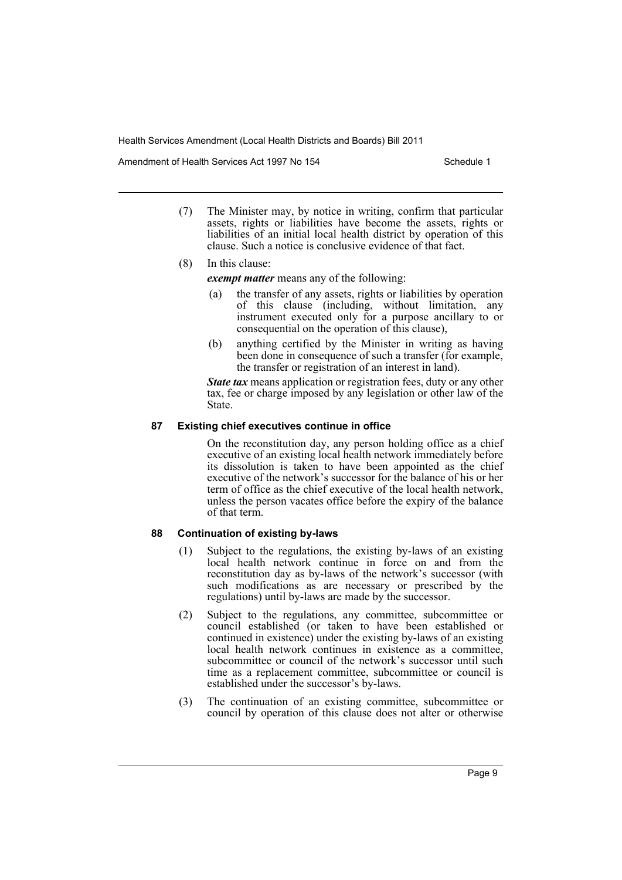Amendment of Health Services Act 1997 No 154 Schedule 1

- (7) The Minister may, by notice in writing, confirm that particular assets, rights or liabilities have become the assets, rights or liabilities of an initial local health district by operation of this clause. Such a notice is conclusive evidence of that fact.
- (8) In this clause:

*exempt matter* means any of the following:

- (a) the transfer of any assets, rights or liabilities by operation of this clause (including, without limitation, any instrument executed only for a purpose ancillary to or consequential on the operation of this clause),
- (b) anything certified by the Minister in writing as having been done in consequence of such a transfer (for example, the transfer or registration of an interest in land).

*State tax* means application or registration fees, duty or any other tax, fee or charge imposed by any legislation or other law of the State.

#### **87 Existing chief executives continue in office**

On the reconstitution day, any person holding office as a chief executive of an existing local health network immediately before its dissolution is taken to have been appointed as the chief executive of the network's successor for the balance of his or her term of office as the chief executive of the local health network, unless the person vacates office before the expiry of the balance of that term.

#### **88 Continuation of existing by-laws**

- (1) Subject to the regulations, the existing by-laws of an existing local health network continue in force on and from the reconstitution day as by-laws of the network's successor (with such modifications as are necessary or prescribed by the regulations) until by-laws are made by the successor.
- (2) Subject to the regulations, any committee, subcommittee or council established (or taken to have been established or continued in existence) under the existing by-laws of an existing local health network continues in existence as a committee, subcommittee or council of the network's successor until such time as a replacement committee, subcommittee or council is established under the successor's by-laws.
- (3) The continuation of an existing committee, subcommittee or council by operation of this clause does not alter or otherwise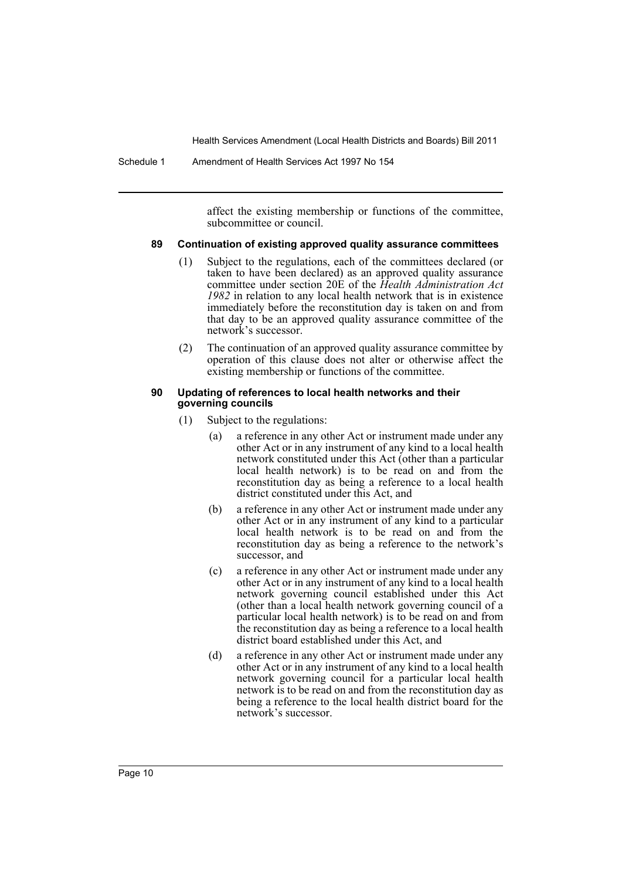Schedule 1 Amendment of Health Services Act 1997 No 154

affect the existing membership or functions of the committee, subcommittee or council.

#### **89 Continuation of existing approved quality assurance committees**

- (1) Subject to the regulations, each of the committees declared (or taken to have been declared) as an approved quality assurance committee under section 20E of the *Health Administration Act 1982* in relation to any local health network that is in existence immediately before the reconstitution day is taken on and from that day to be an approved quality assurance committee of the network's successor.
- (2) The continuation of an approved quality assurance committee by operation of this clause does not alter or otherwise affect the existing membership or functions of the committee.

#### **90 Updating of references to local health networks and their governing councils**

- (1) Subject to the regulations:
	- (a) a reference in any other Act or instrument made under any other Act or in any instrument of any kind to a local health network constituted under this Act (other than a particular local health network) is to be read on and from the reconstitution day as being a reference to a local health district constituted under this Act, and
	- (b) a reference in any other Act or instrument made under any other Act or in any instrument of any kind to a particular local health network is to be read on and from the reconstitution day as being a reference to the network's successor, and
	- (c) a reference in any other Act or instrument made under any other Act or in any instrument of any kind to a local health network governing council established under this Act (other than a local health network governing council of a particular local health network) is to be read on and from the reconstitution day as being a reference to a local health district board established under this Act, and
	- (d) a reference in any other Act or instrument made under any other Act or in any instrument of any kind to a local health network governing council for a particular local health network is to be read on and from the reconstitution day as being a reference to the local health district board for the network's successor.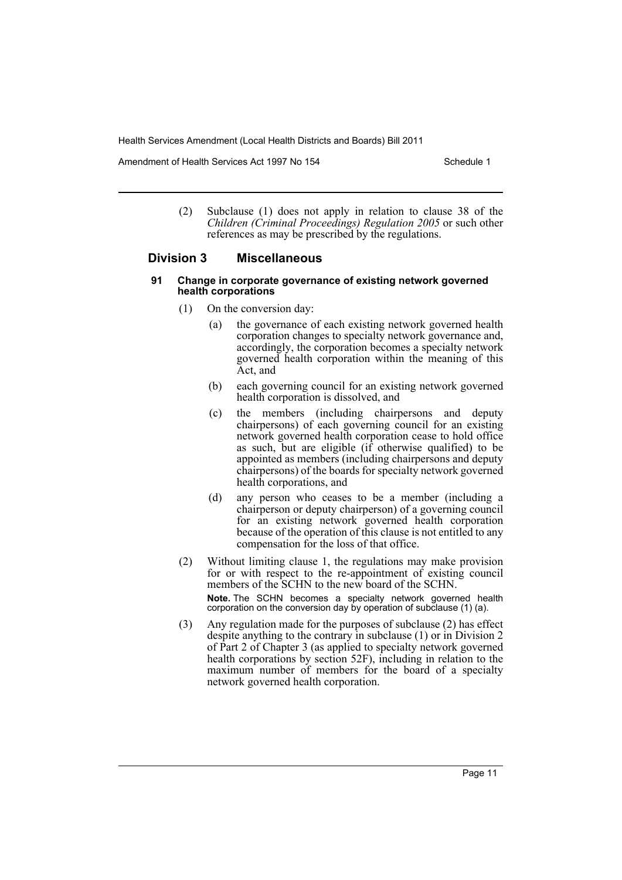Amendment of Health Services Act 1997 No 154 Schedule 1

(2) Subclause (1) does not apply in relation to clause 38 of the *Children (Criminal Proceedings) Regulation 2005* or such other references as may be prescribed by the regulations.

#### **Division 3 Miscellaneous**

- **91 Change in corporate governance of existing network governed health corporations**
	- (1) On the conversion day:
		- (a) the governance of each existing network governed health corporation changes to specialty network governance and, accordingly, the corporation becomes a specialty network governed health corporation within the meaning of this Act, and
		- (b) each governing council for an existing network governed health corporation is dissolved, and
		- (c) the members (including chairpersons and deputy chairpersons) of each governing council for an existing network governed health corporation cease to hold office as such, but are eligible (if otherwise qualified) to be appointed as members (including chairpersons and deputy chairpersons) of the boards for specialty network governed health corporations, and
		- (d) any person who ceases to be a member (including a chairperson or deputy chairperson) of a governing council for an existing network governed health corporation because of the operation of this clause is not entitled to any compensation for the loss of that office.
	- (2) Without limiting clause 1, the regulations may make provision for or with respect to the re-appointment of existing council members of the SCHN to the new board of the SCHN. **Note.** The SCHN becomes a specialty network governed health corporation on the conversion day by operation of subclause (1) (a).
	- (3) Any regulation made for the purposes of subclause (2) has effect despite anything to the contrary in subclause (1) or in Division 2 of Part 2 of Chapter 3 (as applied to specialty network governed health corporations by section 52F), including in relation to the maximum number of members for the board of a specialty network governed health corporation.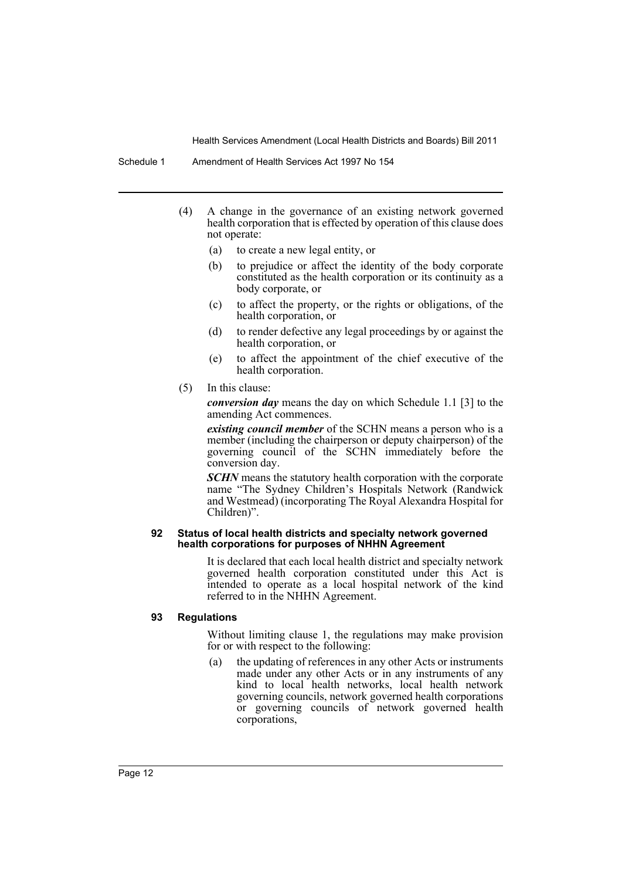- (4) A change in the governance of an existing network governed health corporation that is effected by operation of this clause does not operate:
	- (a) to create a new legal entity, or
	- (b) to prejudice or affect the identity of the body corporate constituted as the health corporation or its continuity as a body corporate, or
	- (c) to affect the property, or the rights or obligations, of the health corporation, or
	- (d) to render defective any legal proceedings by or against the health corporation, or
	- (e) to affect the appointment of the chief executive of the health corporation.
- (5) In this clause:

*conversion day* means the day on which Schedule 1.1 [3] to the amending Act commences.

*existing council member* of the SCHN means a person who is a member (including the chairperson or deputy chairperson) of the governing council of the SCHN immediately before the conversion day.

*SCHN* means the statutory health corporation with the corporate name "The Sydney Children's Hospitals Network (Randwick and Westmead) (incorporating The Royal Alexandra Hospital for Children)".

#### **92 Status of local health districts and specialty network governed health corporations for purposes of NHHN Agreement**

It is declared that each local health district and specialty network governed health corporation constituted under this Act is intended to operate as a local hospital network of the kind referred to in the NHHN Agreement.

#### **93 Regulations**

Without limiting clause 1, the regulations may make provision for or with respect to the following:

(a) the updating of references in any other Acts or instruments made under any other Acts or in any instruments of any kind to local health networks, local health network governing councils, network governed health corporations or governing councils of network governed health corporations,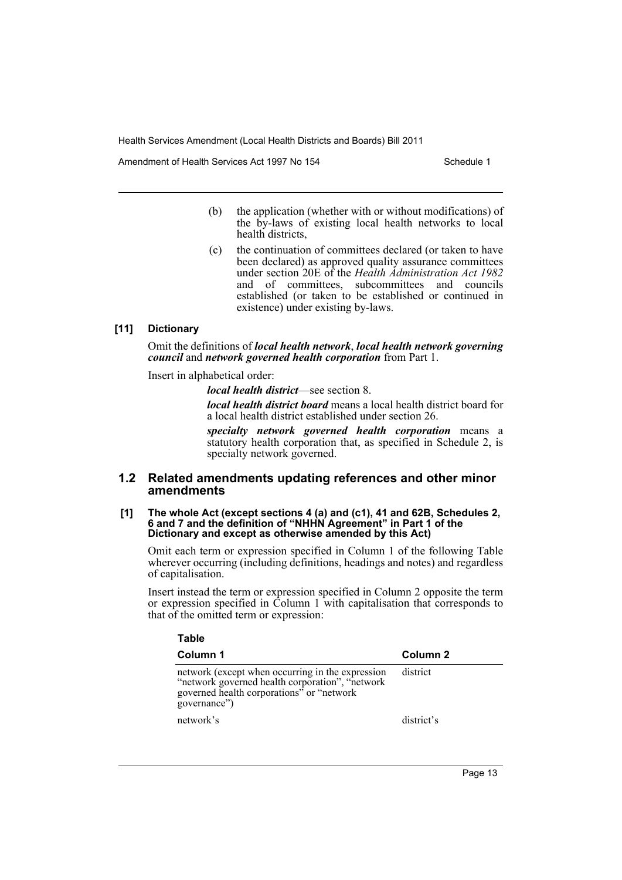Amendment of Health Services Act 1997 No 154 Schedule 1

- (b) the application (whether with or without modifications) of the by-laws of existing local health networks to local health districts,
- (c) the continuation of committees declared (or taken to have been declared) as approved quality assurance committees under section 20E of the *Health Administration Act 1982* and of committees, subcommittees and councils established (or taken to be established or continued in existence) under existing by-laws.

#### **[11] Dictionary**

Omit the definitions of *local health network*, *local health network governing council* and *network governed health corporation* from Part 1.

Insert in alphabetical order:

*local health district*—see section 8.

*local health district board* means a local health district board for a local health district established under section 26.

*specialty network governed health corporation* means a statutory health corporation that, as specified in Schedule 2, is specialty network governed.

#### **1.2 Related amendments updating references and other minor amendments**

#### **[1] The whole Act (except sections 4 (a) and (c1), 41 and 62B, Schedules 2, 6 and 7 and the definition of "NHHN Agreement" in Part 1 of the Dictionary and except as otherwise amended by this Act)**

Omit each term or expression specified in Column 1 of the following Table wherever occurring (including definitions, headings and notes) and regardless of capitalisation.

Insert instead the term or expression specified in Column 2 opposite the term or expression specified in Column 1 with capitalisation that corresponds to that of the omitted term or expression:

| Table                                                                                                                                                             |            |  |
|-------------------------------------------------------------------------------------------------------------------------------------------------------------------|------------|--|
| Column 1                                                                                                                                                          | Column 2   |  |
| network (except when occurring in the expression<br>"network governed health corporation", "network<br>governed health corporations" or "network"<br>governance") | district   |  |
| network's                                                                                                                                                         | district's |  |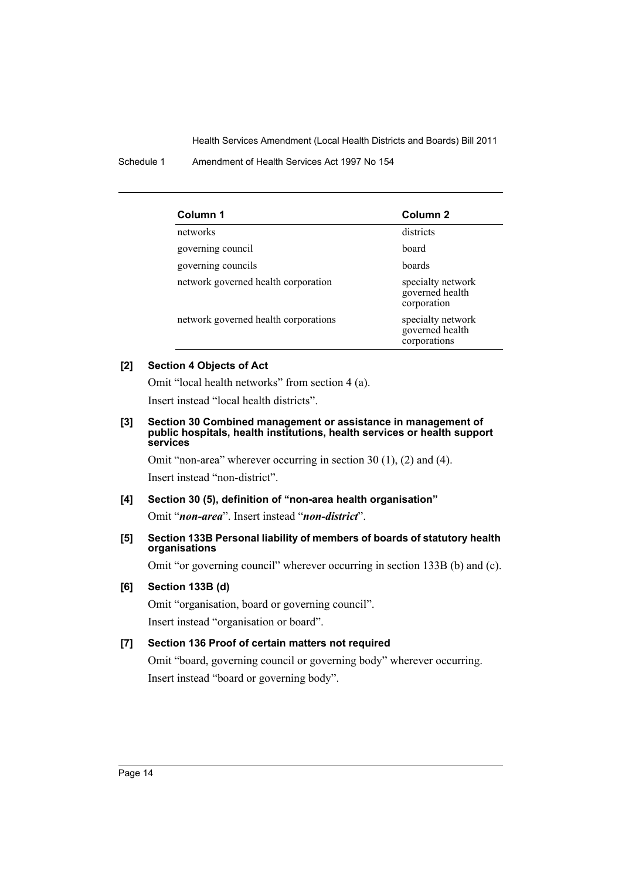Schedule 1 Amendment of Health Services Act 1997 No 154

| Column 1                             | Column <sub>2</sub>                                  |
|--------------------------------------|------------------------------------------------------|
| networks                             | districts                                            |
| governing council                    | board                                                |
| governing councils                   | boards                                               |
| network governed health corporation  | specialty network<br>governed health<br>corporation  |
| network governed health corporations | specialty network<br>governed health<br>corporations |

## **[2] Section 4 Objects of Act**

Omit "local health networks" from section 4 (a).

Insert instead "local health districts".

#### **[3] Section 30 Combined management or assistance in management of public hospitals, health institutions, health services or health support services**

Omit "non-area" wherever occurring in section 30 (1), (2) and (4). Insert instead "non-district".

**[4] Section 30 (5), definition of "non-area health organisation"** Omit "*non-area*". Insert instead "*non-district*".

#### **[5] Section 133B Personal liability of members of boards of statutory health organisations**

Omit "or governing council" wherever occurring in section 133B (b) and (c).

#### **[6] Section 133B (d)**

Omit "organisation, board or governing council". Insert instead "organisation or board".

# **[7] Section 136 Proof of certain matters not required**

Omit "board, governing council or governing body" wherever occurring. Insert instead "board or governing body".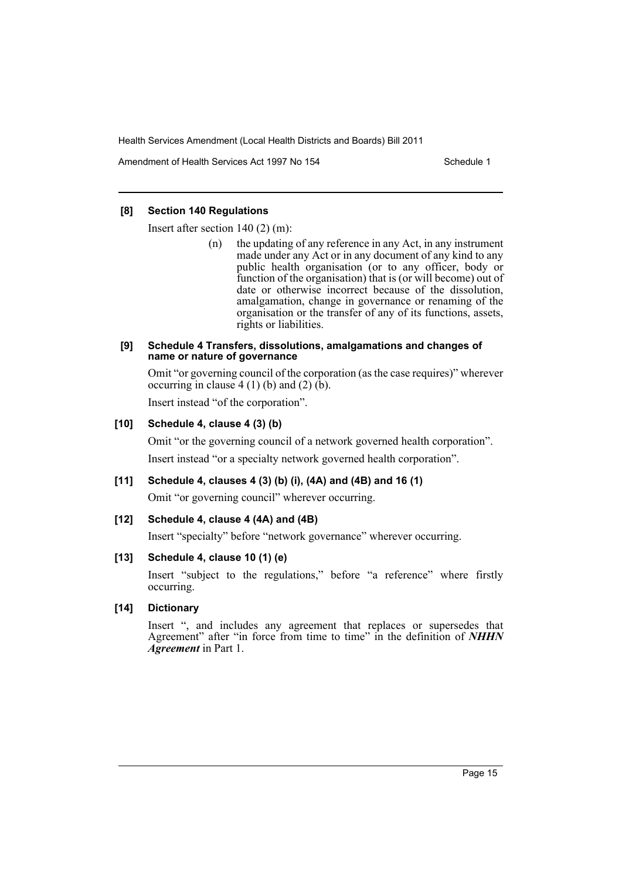Amendment of Health Services Act 1997 No 154 Schedule 1

#### **[8] Section 140 Regulations**

Insert after section 140 (2) (m):

(n) the updating of any reference in any Act, in any instrument made under any Act or in any document of any kind to any public health organisation (or to any officer, body or function of the organisation) that is (or will become) out of date or otherwise incorrect because of the dissolution, amalgamation, change in governance or renaming of the organisation or the transfer of any of its functions, assets, rights or liabilities.

#### **[9] Schedule 4 Transfers, dissolutions, amalgamations and changes of name or nature of governance**

Omit "or governing council of the corporation (as the case requires)" wherever occurring in clause  $4(1)(b)$  and  $(2)(\dot{b})$ .

Insert instead "of the corporation".

#### **[10] Schedule 4, clause 4 (3) (b)**

Omit "or the governing council of a network governed health corporation". Insert instead "or a specialty network governed health corporation".

#### **[11] Schedule 4, clauses 4 (3) (b) (i), (4A) and (4B) and 16 (1)**

Omit "or governing council" wherever occurring.

#### **[12] Schedule 4, clause 4 (4A) and (4B)**

Insert "specialty" before "network governance" wherever occurring.

#### **[13] Schedule 4, clause 10 (1) (e)**

Insert "subject to the regulations," before "a reference" where firstly occurring.

#### **[14] Dictionary**

Insert ", and includes any agreement that replaces or supersedes that Agreement" after "in force from time to time" in the definition of *NHHN Agreement* in Part 1.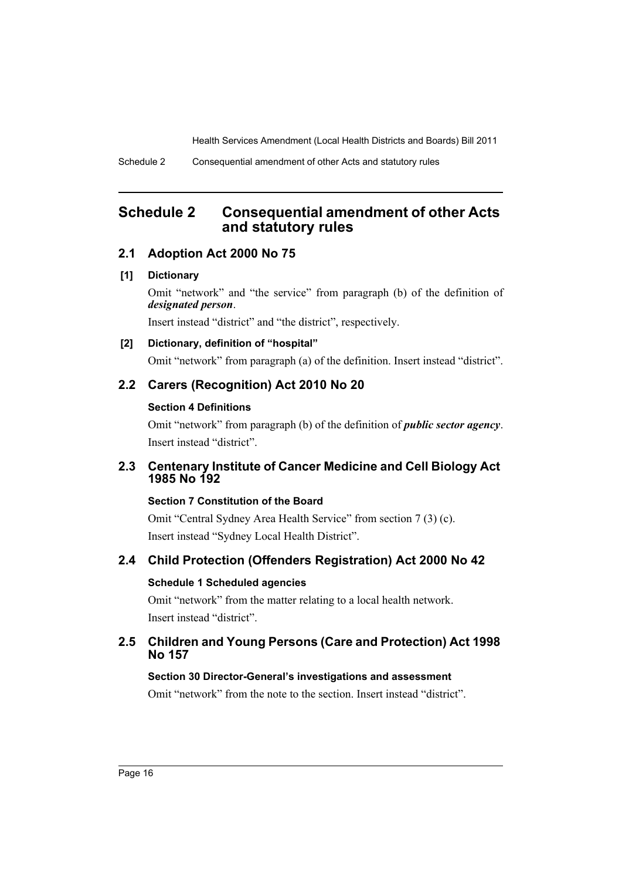# <span id="page-17-0"></span>**Schedule 2 Consequential amendment of other Acts and statutory rules**

# **2.1 Adoption Act 2000 No 75**

## **[1] Dictionary**

Omit "network" and "the service" from paragraph (b) of the definition of *designated person*.

Insert instead "district" and "the district", respectively.

# **[2] Dictionary, definition of "hospital"**

Omit "network" from paragraph (a) of the definition. Insert instead "district".

# **2.2 Carers (Recognition) Act 2010 No 20**

## **Section 4 Definitions**

Omit "network" from paragraph (b) of the definition of *public sector agency*. Insert instead "district".

# **2.3 Centenary Institute of Cancer Medicine and Cell Biology Act 1985 No 192**

# **Section 7 Constitution of the Board**

Omit "Central Sydney Area Health Service" from section 7 (3) (c). Insert instead "Sydney Local Health District".

# **2.4 Child Protection (Offenders Registration) Act 2000 No 42**

# **Schedule 1 Scheduled agencies**

Omit "network" from the matter relating to a local health network. Insert instead "district".

# **2.5 Children and Young Persons (Care and Protection) Act 1998 No 157**

# **Section 30 Director-General's investigations and assessment**

Omit "network" from the note to the section. Insert instead "district".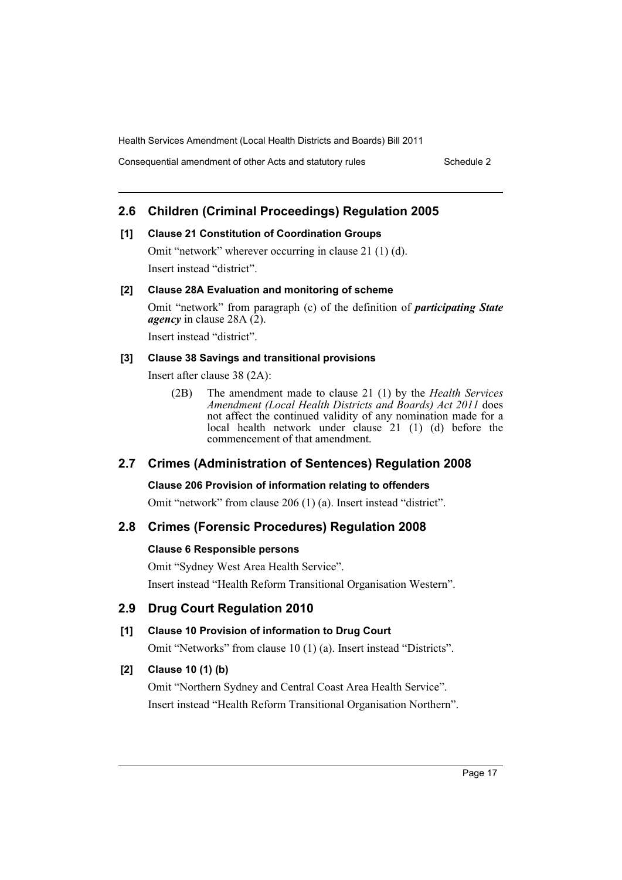Consequential amendment of other Acts and statutory rules Schedule 2

# **2.6 Children (Criminal Proceedings) Regulation 2005**

#### **[1] Clause 21 Constitution of Coordination Groups**

Omit "network" wherever occurring in clause 21 (1) (d). Insert instead "district".

## **[2] Clause 28A Evaluation and monitoring of scheme**

Omit "network" from paragraph (c) of the definition of *participating State agency* in clause 28A (2).

Insert instead "district".

## **[3] Clause 38 Savings and transitional provisions**

Insert after clause 38 (2A):

(2B) The amendment made to clause 21 (1) by the *Health Services Amendment (Local Health Districts and Boards) Act 2011* does not affect the continued validity of any nomination made for a local health network under clause 21 (1) (d) before the commencement of that amendment.

# **2.7 Crimes (Administration of Sentences) Regulation 2008**

#### **Clause 206 Provision of information relating to offenders**

Omit "network" from clause 206 (1) (a). Insert instead "district".

# **2.8 Crimes (Forensic Procedures) Regulation 2008**

#### **Clause 6 Responsible persons**

Omit "Sydney West Area Health Service". Insert instead "Health Reform Transitional Organisation Western".

# **2.9 Drug Court Regulation 2010**

# **[1] Clause 10 Provision of information to Drug Court**

Omit "Networks" from clause 10 (1) (a). Insert instead "Districts".

# **[2] Clause 10 (1) (b)**

Omit "Northern Sydney and Central Coast Area Health Service". Insert instead "Health Reform Transitional Organisation Northern".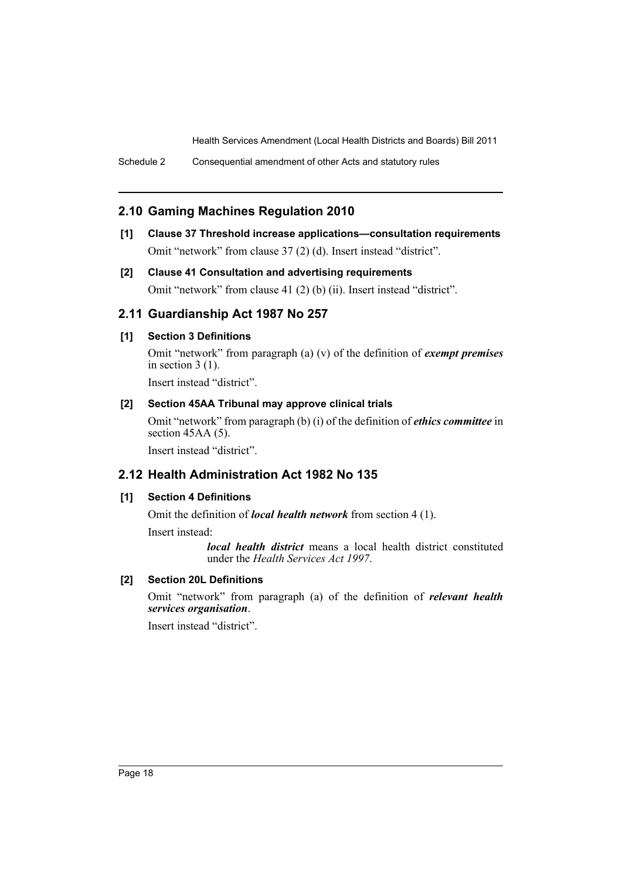Schedule 2 Consequential amendment of other Acts and statutory rules

# **2.10 Gaming Machines Regulation 2010**

- **[1] Clause 37 Threshold increase applications—consultation requirements** Omit "network" from clause 37 (2) (d). Insert instead "district".
- **[2] Clause 41 Consultation and advertising requirements** Omit "network" from clause 41 (2) (b) (ii). Insert instead "district".

# **2.11 Guardianship Act 1987 No 257**

## **[1] Section 3 Definitions**

Omit "network" from paragraph (a) (v) of the definition of *exempt premises* in section 3 (1).

Insert instead "district".

#### **[2] Section 45AA Tribunal may approve clinical trials**

Omit "network" from paragraph (b) (i) of the definition of *ethics committee* in section 45AA (5).

Insert instead "district".

# **2.12 Health Administration Act 1982 No 135**

#### **[1] Section 4 Definitions**

Omit the definition of *local health network* from section 4 (1).

Insert instead:

*local health district* means a local health district constituted under the *Health Services Act 1997*.

## **[2] Section 20L Definitions**

Omit "network" from paragraph (a) of the definition of *relevant health services organisation*.

Insert instead "district".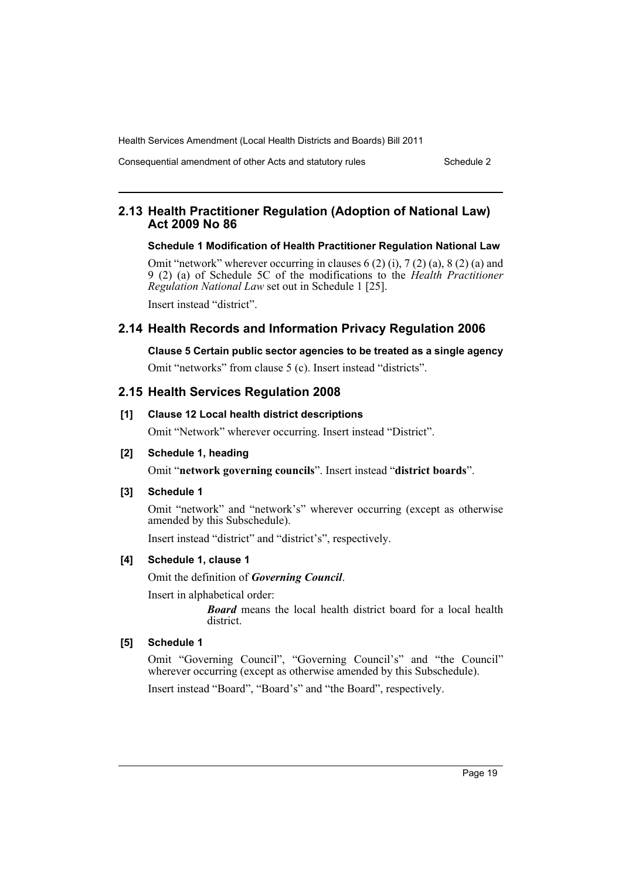Consequential amendment of other Acts and statutory rules Schedule 2

# **2.13 Health Practitioner Regulation (Adoption of National Law) Act 2009 No 86**

#### **Schedule 1 Modification of Health Practitioner Regulation National Law**

Omit "network" wherever occurring in clauses  $6(2)$  (i),  $7(2)$  (a),  $8(2)$  (a) and 9 (2) (a) of Schedule 5C of the modifications to the *Health Practitioner Regulation National Law* set out in Schedule 1 [25]. Insert instead "district".

# **2.14 Health Records and Information Privacy Regulation 2006**

# **Clause 5 Certain public sector agencies to be treated as a single agency**

Omit "networks" from clause 5 (c). Insert instead "districts".

# **2.15 Health Services Regulation 2008**

## **[1] Clause 12 Local health district descriptions**

Omit "Network" wherever occurring. Insert instead "District".

#### **[2] Schedule 1, heading**

Omit "**network governing councils**". Insert instead "**district boards**".

#### **[3] Schedule 1**

Omit "network" and "network's" wherever occurring (except as otherwise amended by this Subschedule).

Insert instead "district" and "district's", respectively.

#### **[4] Schedule 1, clause 1**

Omit the definition of *Governing Council*.

Insert in alphabetical order:

*Board* means the local health district board for a local health district.

#### **[5] Schedule 1**

Omit "Governing Council", "Governing Council's" and "the Council" wherever occurring (except as otherwise amended by this Subschedule).

Insert instead "Board", "Board's" and "the Board", respectively.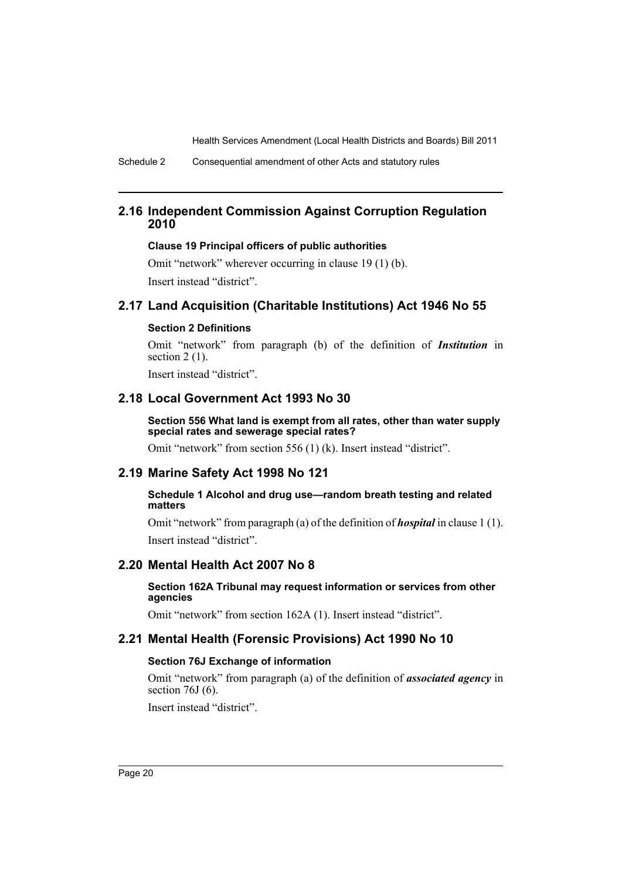Schedule 2 Consequential amendment of other Acts and statutory rules

# **2.16 Independent Commission Against Corruption Regulation 2010**

#### **Clause 19 Principal officers of public authorities**

Omit "network" wherever occurring in clause 19 (1) (b). Insert instead "district".

# **2.17 Land Acquisition (Charitable Institutions) Act 1946 No 55**

## **Section 2 Definitions**

Omit "network" from paragraph (b) of the definition of *Institution* in section  $2(1)$ .

Insert instead "district".

# **2.18 Local Government Act 1993 No 30**

**Section 556 What land is exempt from all rates, other than water supply special rates and sewerage special rates?**

Omit "network" from section 556 (1) (k). Insert instead "district".

# **2.19 Marine Safety Act 1998 No 121**

#### **Schedule 1 Alcohol and drug use—random breath testing and related matters**

Omit "network" from paragraph (a) of the definition of *hospital* in clause 1 (1). Insert instead "district".

# **2.20 Mental Health Act 2007 No 8**

#### **Section 162A Tribunal may request information or services from other agencies**

Omit "network" from section 162A (1). Insert instead "district".

# **2.21 Mental Health (Forensic Provisions) Act 1990 No 10**

## **Section 76J Exchange of information**

Omit "network" from paragraph (a) of the definition of *associated agency* in section 76J (6).

Insert instead "district".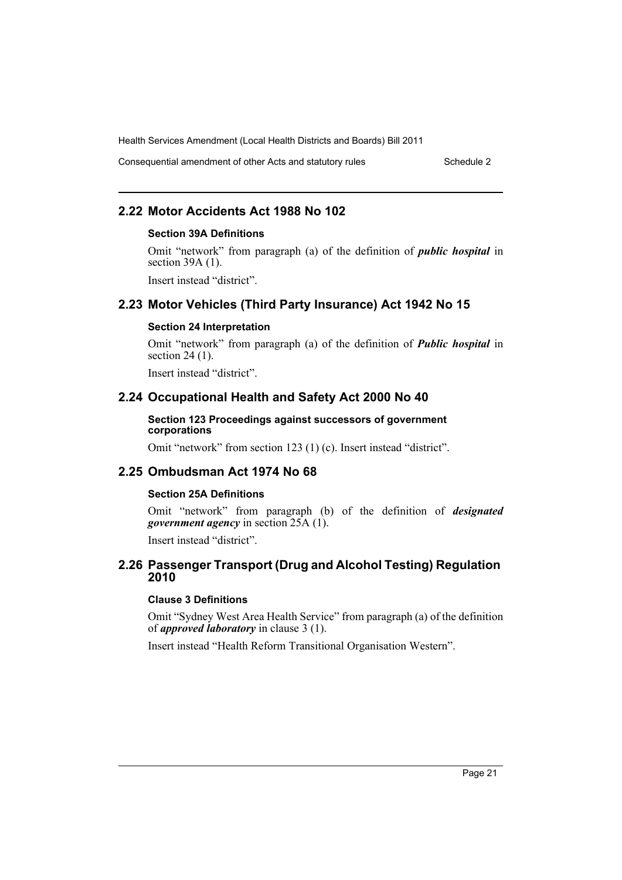Consequential amendment of other Acts and statutory rules Schedule 2

# **2.22 Motor Accidents Act 1988 No 102**

#### **Section 39A Definitions**

Omit "network" from paragraph (a) of the definition of *public hospital* in section 39A (1).

Insert instead "district".

# **2.23 Motor Vehicles (Third Party Insurance) Act 1942 No 15**

#### **Section 24 Interpretation**

Omit "network" from paragraph (a) of the definition of *Public hospital* in section 24 (1).

Insert instead "district".

# **2.24 Occupational Health and Safety Act 2000 No 40**

#### **Section 123 Proceedings against successors of government corporations**

Omit "network" from section 123 (1) (c). Insert instead "district".

## **2.25 Ombudsman Act 1974 No 68**

#### **Section 25A Definitions**

Omit "network" from paragraph (b) of the definition of *designated government agency* in section 25A (1).

Insert instead "district".

## **2.26 Passenger Transport (Drug and Alcohol Testing) Regulation 2010**

#### **Clause 3 Definitions**

Omit "Sydney West Area Health Service" from paragraph (a) of the definition of *approved laboratory* in clause 3 (1).

Insert instead "Health Reform Transitional Organisation Western".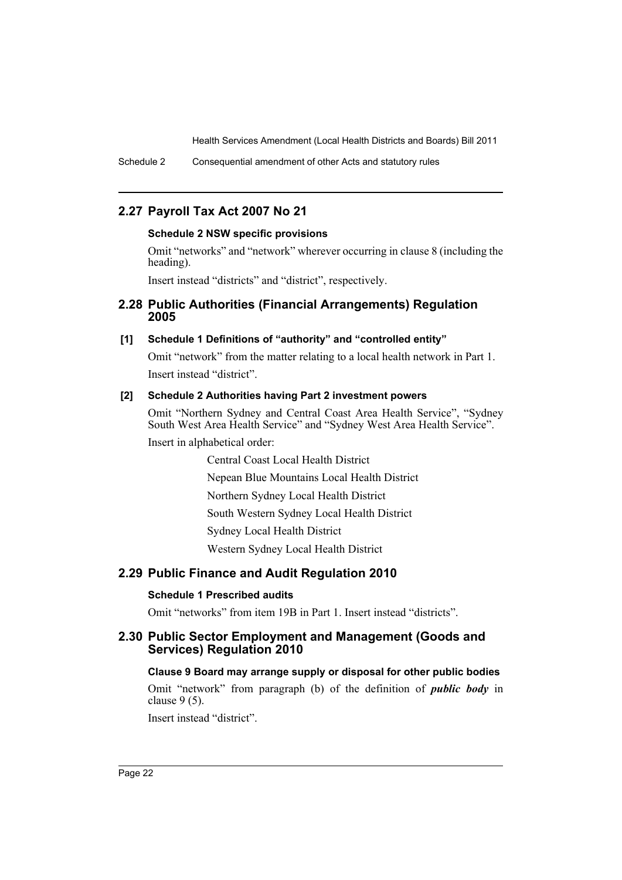Schedule 2 Consequential amendment of other Acts and statutory rules

# **2.27 Payroll Tax Act 2007 No 21**

#### **Schedule 2 NSW specific provisions**

Omit "networks" and "network" wherever occurring in clause 8 (including the heading).

Insert instead "districts" and "district", respectively.

## **2.28 Public Authorities (Financial Arrangements) Regulation 2005**

#### **[1] Schedule 1 Definitions of "authority" and "controlled entity"**

Omit "network" from the matter relating to a local health network in Part 1. Insert instead "district".

#### **[2] Schedule 2 Authorities having Part 2 investment powers**

Omit "Northern Sydney and Central Coast Area Health Service", "Sydney South West Area Health Service" and "Sydney West Area Health Service". Insert in alphabetical order:

> Central Coast Local Health District Nepean Blue Mountains Local Health District Northern Sydney Local Health District South Western Sydney Local Health District Sydney Local Health District Western Sydney Local Health District

# **2.29 Public Finance and Audit Regulation 2010**

#### **Schedule 1 Prescribed audits**

Omit "networks" from item 19B in Part 1. Insert instead "districts".

# **2.30 Public Sector Employment and Management (Goods and Services) Regulation 2010**

#### **Clause 9 Board may arrange supply or disposal for other public bodies**

Omit "network" from paragraph (b) of the definition of *public body* in clause 9 (5).

Insert instead "district".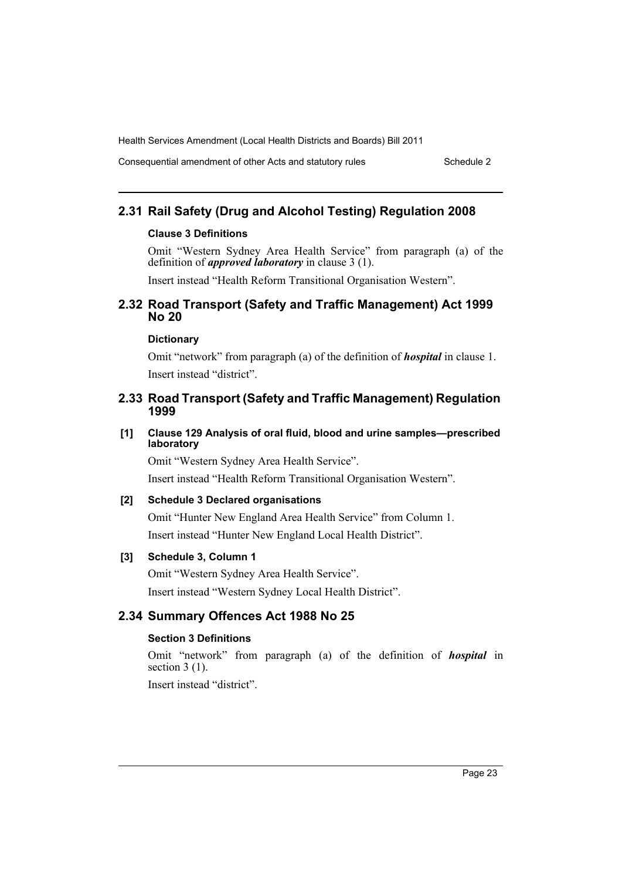Consequential amendment of other Acts and statutory rules Schedule 2

# **2.31 Rail Safety (Drug and Alcohol Testing) Regulation 2008**

#### **Clause 3 Definitions**

Omit "Western Sydney Area Health Service" from paragraph (a) of the definition of *approved laboratory* in clause 3 (1).

Insert instead "Health Reform Transitional Organisation Western".

## **2.32 Road Transport (Safety and Traffic Management) Act 1999 No 20**

#### **Dictionary**

Omit "network" from paragraph (a) of the definition of *hospital* in clause 1. Insert instead "district".

## **2.33 Road Transport (Safety and Traffic Management) Regulation 1999**

#### **[1] Clause 129 Analysis of oral fluid, blood and urine samples—prescribed laboratory**

Omit "Western Sydney Area Health Service". Insert instead "Health Reform Transitional Organisation Western".

#### **[2] Schedule 3 Declared organisations**

Omit "Hunter New England Area Health Service" from Column 1. Insert instead "Hunter New England Local Health District".

## **[3] Schedule 3, Column 1**

Omit "Western Sydney Area Health Service". Insert instead "Western Sydney Local Health District".

# **2.34 Summary Offences Act 1988 No 25**

## **Section 3 Definitions**

Omit "network" from paragraph (a) of the definition of *hospital* in section 3 (1).

Insert instead "district".